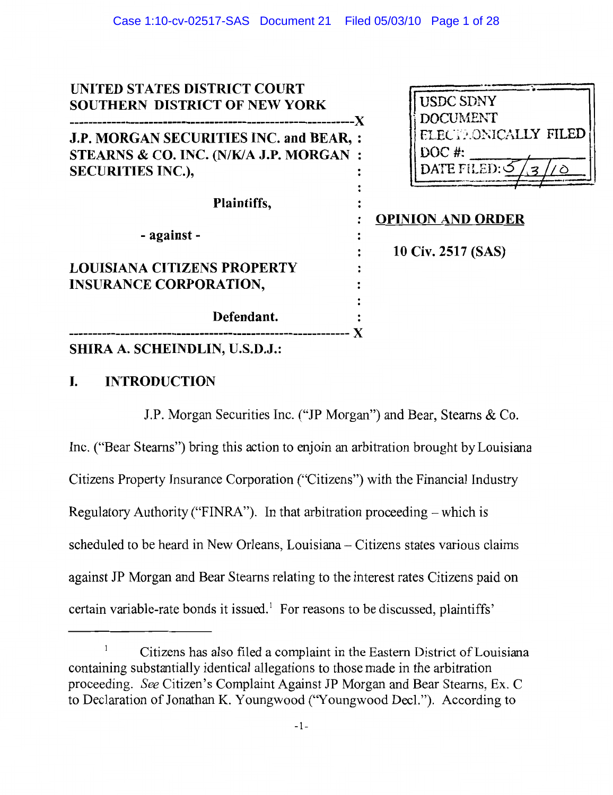| UNITED STATES DISTRICT COURT<br><b>SOUTHERN DISTRICT OF NEW YORK</b><br>---X                                  | <b>USDC SDNY</b><br><b>DOCUMENT</b>                                                     |
|---------------------------------------------------------------------------------------------------------------|-----------------------------------------------------------------------------------------|
| J.P. MORGAN SECURITIES INC. and BEAR, :<br>STEARNS & CO. INC. (N/K/A J.P. MORGAN:<br><b>SECURITIES INC.),</b> | ELECTRONICALLY FILED<br>DOC $#$<br>$\text{DATE}\text{FLED:}\mathcal{S}$<br>$\mathbf{z}$ |
| Plaintiffs,                                                                                                   | <b>OPINION AND ORDER</b>                                                                |
| - against -                                                                                                   | 10 Civ. 2517 (SAS)                                                                      |
| <b>LOUISIANA CITIZENS PROPERTY</b><br><b>INSURANCE CORPORATION,</b>                                           |                                                                                         |
| Defendant.                                                                                                    |                                                                                         |
| <b>SHIRA A. SCHEINDLIN, U.S.D.J.:</b>                                                                         |                                                                                         |

# $\mathbf{I}$ . **INTRODUCTION**

J.P. Morgan Securities Inc. ("JP Morgan") and Bear, Stearns & Co.

Inc. ("Bear Stearns") bring this action to enjoin an arbitration brought by Louisiana Citizens Property Insurance Corporation ("Citizens") with the Financial Industry Regulatory Authority ("FINRA"). In that arbitration proceeding – which is scheduled to be heard in New Orleans, Louisiana - Citizens states various claims against JP Morgan and Bear Stearns relating to the interest rates Citizens paid on certain variable-rate bonds it issued.<sup>1</sup> For reasons to be discussed, plaintiffs'

 $\,1$ Citizens has also filed a complaint in the Eastern District of Louisiana containing substantially identical allegations to those made in the arbitration proceeding. See Citizen's Complaint Against JP Morgan and Bear Stearns, Ex. C to Declaration of Jonathan K. Youngwood ("Youngwood Decl."). According to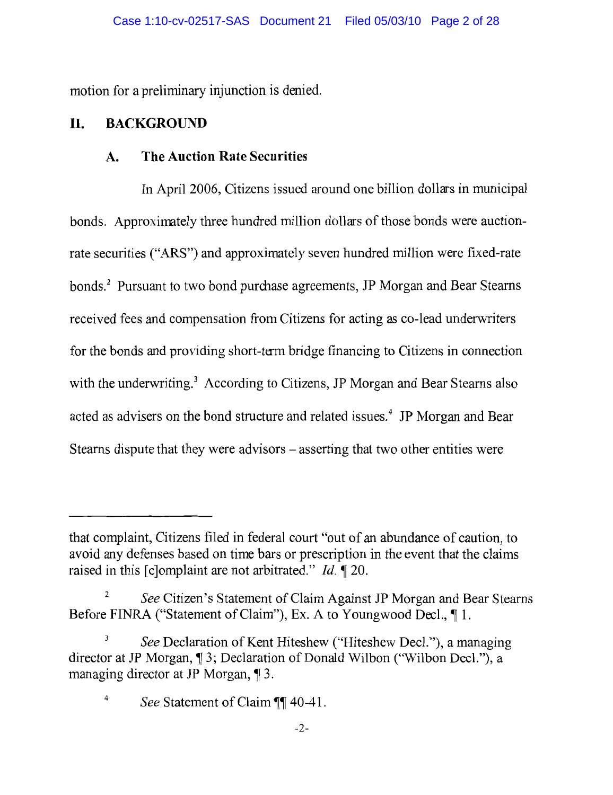motion for a preliminary injunction is denied.

### П. **BACKGROUND**

### **The Auction Rate Securities**  $\mathbf{A}$ .

In April 2006, Citizens issued around one billion dollars in municipal bonds. Approximately three hundred million dollars of those bonds were auctionrate securities ("ARS") and approximately seven hundred million were fixed-rate bonds.<sup>2</sup> Pursuant to two bond purchase agreements, JP Morgan and Bear Stearns received fees and compensation from Citizens for acting as co-lead underwriters for the bonds and providing short-term bridge financing to Citizens in connection with the underwriting.<sup>3</sup> According to Citizens, JP Morgan and Bear Stearns also acted as advisers on the bond structure and related issues.<sup>4</sup> JP Morgan and Bear Stearns dispute that they were advisors – asserting that two other entities were

that complaint, Citizens filed in federal court "out of an abundance of caution, to avoid any defenses based on time bars or prescription in the event that the claims raised in this [c]omplaint are not arbitrated." *Id.* 120.

 $\overline{c}$ See Citizen's Statement of Claim Against JP Morgan and Bear Stearns Before FINRA ("Statement of Claim"), Ex. A to Youngwood Decl., ¶ 1.

 $\mathfrak{Z}$ See Declaration of Kent Hiteshew ("Hiteshew Decl."), a managing director at JP Morgan, ¶ 3; Declaration of Donald Wilbon ("Wilbon Decl."), a managing director at JP Morgan, 13.

See Statement of Claim ¶¶ 40-41.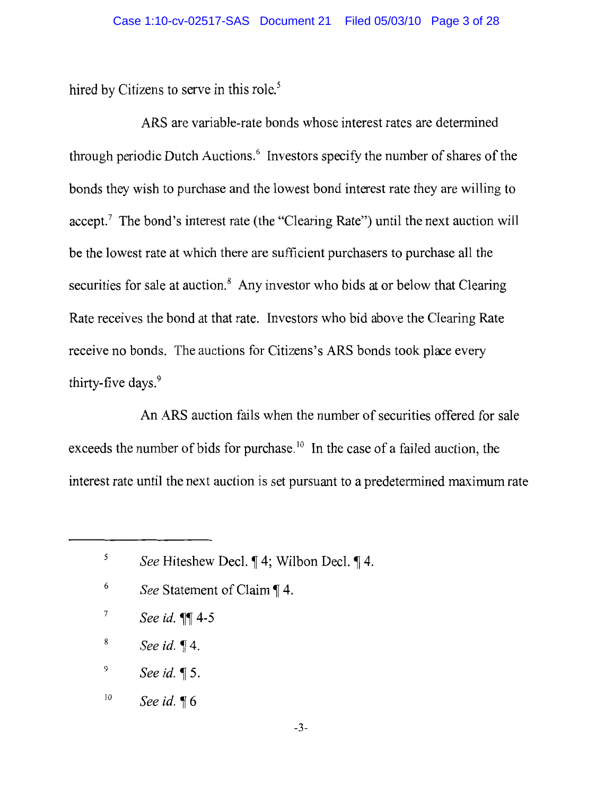hired by Citizens to serve in this role.<sup>5</sup>

ARS are variable-rate bonds whose interest rates are determined through periodic Dutch Auctions.<sup>6</sup> Investors specify the number of shares of the bonds they wish to purchase and the lowest bond interest rate they are willing to accept.<sup>7</sup> The bond's interest rate (the "Clearing Rate") until the next auction will be the lowest rate at which there are sufficient purchasers to purchase all the securities for sale at auction.<sup>8</sup> Any investor who bids at or below that Clearing Rate receives the bond at that rate. Investors who bid above the Clearing Rate receive no bonds. The auctions for Citizens's ARS bonds took place every thirty-five days.<sup>9</sup>

An ARS auction fails when the number of securities offered for sale exceeds the number of bids for purchase.<sup>10</sup> In the case of a failed auction, the interest rate until the next auction is set pursuant to a predetermined maximum rate

- 6 See Statement of Claim ¶ 4.
- $\boldsymbol{7}$ See id. **\\\\** 4-5
- 8 See id.  $\P$ 4.
- 9 See id.  $\P$ 5.
- 10 See id.  $\P 6$

 $\sqrt{5}$ See Hiteshew Decl. ¶ 4; Wilbon Decl. ¶ 4.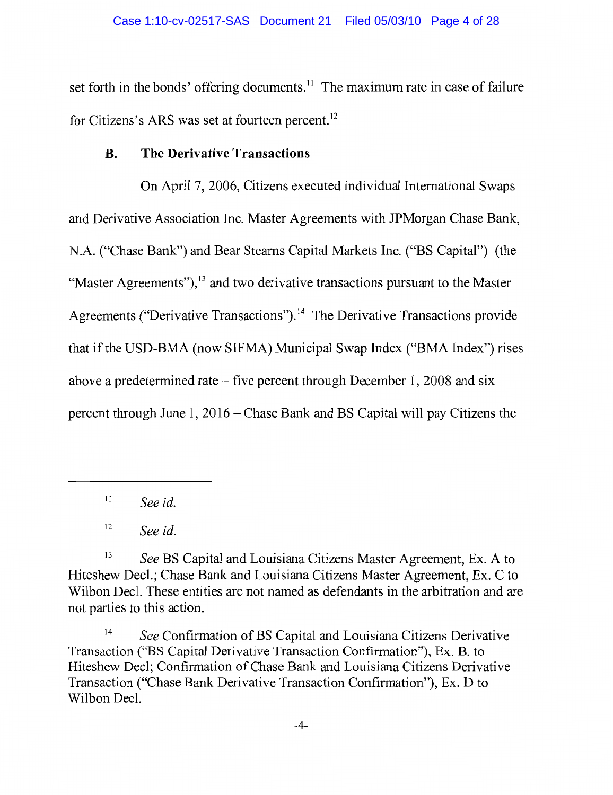set forth in the bonds' offering documents.<sup>11</sup> The maximum rate in case of failure for Citizens's ARS was set at fourteen percent.<sup>12</sup>

### **B. The Derivative Transactions**

On April 7, 2006, Citizens executed individual International Swaps and Derivative Association Inc. Master Agreements with JPMorgan Chase Bank, N.A. ("Chase Bank") and Bear Stearns Capital Markets Inc. ("BS Capital") (the "Master Agreements"),<sup>13</sup> and two derivative transactions pursuant to the Master Agreements ("Derivative Transactions").<sup>14</sup> The Derivative Transactions provide that if the USD-BMA (now SIFMA) Municipal Swap Index ("BMA Index") rises above a predetermined rate – five percent through December 1, 2008 and  $s$ ix percent through June 1, 2016 – Chase Bank and BS Capital will pay Citizens the

 $11$ See id.

 $12$ See id.

13 See BS Capital and Louisiana Citizens Master Agreement, Ex. A to Hiteshew Decl.; Chase Bank and Louisiana Citizens Master Agreement, Ex. C to Wilbon Decl. These entities are not named as defendants in the arbitration and are not parties to this action.

 $14$ See Confirmation of BS Capital and Louisiana Citizens Derivative Transaction ("BS Capital Derivative Transaction Confirmation"), Ex. B. to Hiteshew Decl; Confirmation of Chase Bank and Louisiana Citizens Derivative Transaction ("Chase Bank Derivative Transaction Confirmation"), Ex. D to Wilbon Decl.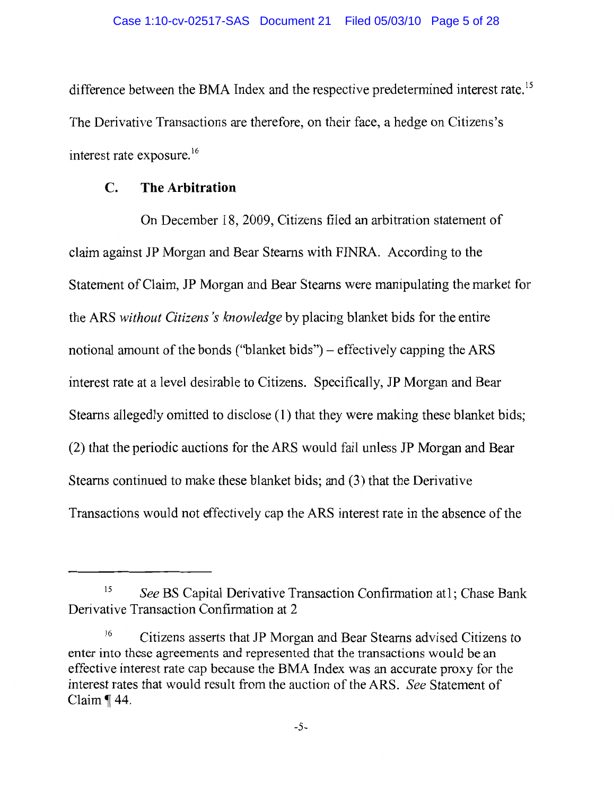difference between the BMA Index and the respective predetermined interest rate.<sup>15</sup> The Derivative Transactions are therefore, on their face, a hedge on Citizens's interest rate exposure.<sup>16</sup>

#### The Arbitration  $\mathbf{C}$ .

On December 18, 2009, Citizens filed an arbitration statement of claim against JP Morgan and Bear Stearns with FINRA. According to the Statement of Claim, JP Morgan and Bear Stearns were manipulating the market for the ARS without Citizens's knowledge by placing blanket bids for the entire notional amount of the bonds ("blanket bids") – effectively capping the ARS interest rate at a level desirable to Citizens. Specifically, JP Morgan and Bear Stearns allegedly omitted to disclose (1) that they were making these blanket bids; (2) that the periodic auctions for the ARS would fail unless JP Morgan and Bear Stearns continued to make these blanket bids; and (3) that the Derivative Transactions would not effectively cap the ARS interest rate in the absence of the

<sup>15</sup> See BS Capital Derivative Transaction Confirmation at1; Chase Bank Derivative Transaction Confirmation at 2

<sup>16</sup> Citizens asserts that JP Morgan and Bear Stearns advised Citizens to enter into these agreements and represented that the transactions would be an effective interest rate cap because the BMA Index was an accurate proxy for the interest rates that would result from the auction of the ARS. See Statement of Claim  $\P$  44.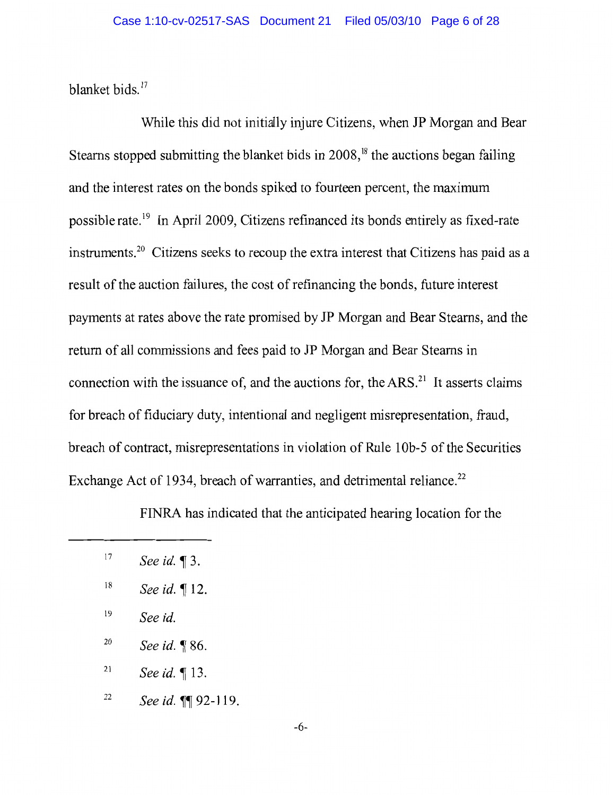blanket bids.<sup>17</sup>

While this did not initially injure Citizens, when JP Morgan and Bear Stearns stopped submitting the blanket bids in 2008,<sup>18</sup> the auctions began failing and the interest rates on the bonds spiked to fourteen percent, the maximum possible rate.<sup>19</sup> In April 2009, Citizens refinanced its bonds entirely as fixed-rate instruments.<sup>20</sup> Citizens seeks to recoup the extra interest that Citizens has paid as a result of the auction failures, the cost of refinancing the bonds, future interest payments at rates above the rate promised by JP Morgan and Bear Stearns, and the return of all commissions and fees paid to JP Morgan and Bear Stearns in connection with the issuance of, and the auctions for, the ARS.<sup>21</sup> It asserts claims for breach of fiduciary duty, intentional and negligent misrepresentation, fraud, breach of contract, misrepresentations in violation of Rule 10b-5 of the Securities Exchange Act of 1934, breach of warranties, and detrimental reliance.<sup>22</sup>

FINRA has indicated that the anticipated hearing location for the

- 19 See id.
- 20 See id. ¶ 86.
- $21$ See id. ¶ 13.
- 22 See id. 1192-119.

 $17$ See id.  $\P$ 3.

 $18\,$ See id. ¶ 12.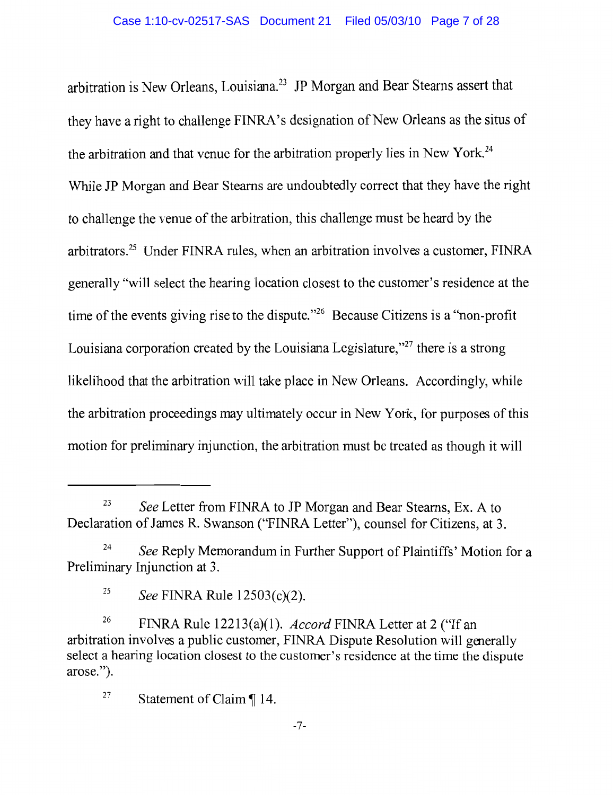arbitration is New Orleans, Louisiana.<sup>23</sup> JP Morgan and Bear Stearns assert that they have a right to challenge FINRA's designation of New Orleans as the situs of the arbitration and that venue for the arbitration properly lies in New York.<sup>24</sup> While JP Morgan and Bear Stearns are undoubtedly correct that they have the right to challenge the venue of the arbitration, this challenge must be heard by the arbitrators.<sup>25</sup> Under FINRA rules, when an arbitration involves a customer, FINRA generally "will select the hearing location closest to the customer's residence at the time of the events giving rise to the dispute."<sup>26</sup> Because Citizens is a "non-profit Louisiana corporation created by the Louisiana Legislature,"<sup>27</sup> there is a strong likelihood that the arbitration will take place in New Orleans. Accordingly, while the arbitration proceedings may ultimately occur in New York, for purposes of this motion for preliminary injunction, the arbitration must be treated as though it will

23 See Letter from FINRA to JP Morgan and Bear Stearns, Ex. A to Declaration of James R. Swanson ("FINRA Letter"), counsel for Citizens, at 3.

<sup>24</sup> See Reply Memorandum in Further Support of Plaintiffs' Motion for a Preliminary Injunction at 3.

<sup>25</sup> See FINRA Rule 12503(c)(2).

<sup>26</sup> FINRA Rule 12213(a)(1). *Accord* FINRA Letter at 2 ("If an arbitration involves a public customer, FINRA Dispute Resolution will generally select a hearing location closest to the customer's residence at the time the dispute arose.").

<sup>27</sup> Statement of Claim ¶ 14.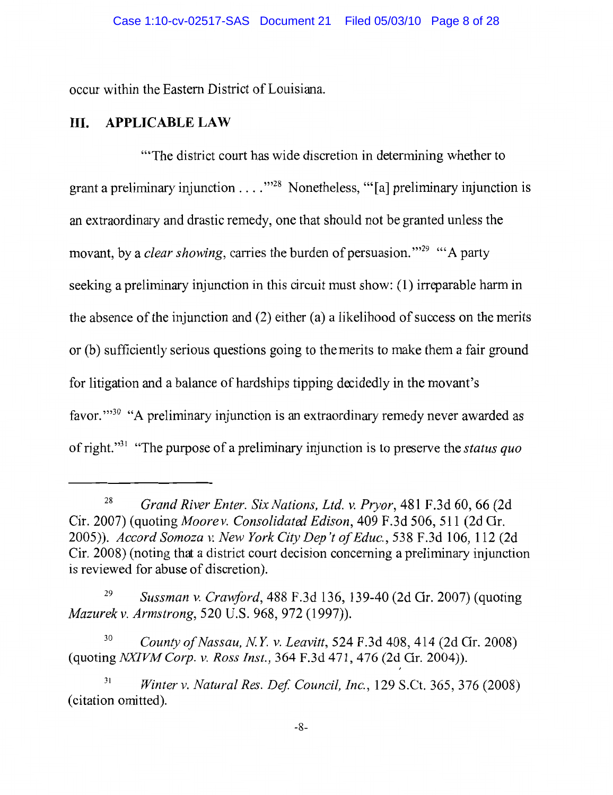occur within the Eastern District of Louisiana.

#### III. **APPLICABLE LAW**

"The district court has wide discretion in determining whether to grant a preliminary injunction  $\dots$   $\cdot$   $\cdot$   $\cdot$  Nonetheless, "[a] preliminary injunction is an extraordinary and drastic remedy, one that should not be granted unless the movant, by a *clear showing*, carries the burden of persuasion."<sup>29</sup> "A party seeking a preliminary injunction in this circuit must show: (1) irreparable harm in the absence of the injunction and  $(2)$  either  $(a)$  a likelihood of success on the merits or (b) sufficiently serious questions going to the merits to make them a fair ground for litigation and a balance of hardships tipping decidedly in the movant's favor."<sup>30</sup> "A preliminary injunction is an extraordinary remedy never awarded as of right."<sup>31</sup> "The purpose of a preliminary injunction is to preserve the *status quo* 

Grand River Enter. Six Nations, Ltd. v. Pryor, 481 F.3d 60, 66 (2d 28 Cir. 2007) (quoting Moore v. Consolidated Edison, 409 F.3d 506, 511 (2d Gr. 2005)). Accord Somoza v. New York City Dep't of Educ., 538 F.3d 106, 112 (2d) Cir. 2008) (noting that a district court decision concerning a preliminary injunction is reviewed for abuse of discretion).

<sup>29</sup> Sussman v. Crawford, 488 F.3d 136, 139-40 (2d Gr. 2007) (quoting Mazurek v. Armstrong, 520 U.S. 968, 972 (1997)).

<sup>30</sup> County of Nassau, N.Y. v. Leavitt, 524 F.3d 408, 414 (2d Cir. 2008) (quoting NXIVM Corp. v. Ross Inst., 364 F.3d 471, 476 (2d Gr. 2004)).

 $31$ Winter v. Natural Res. Def. Council, Inc., 129 S.Ct. 365, 376 (2008) (citation omitted).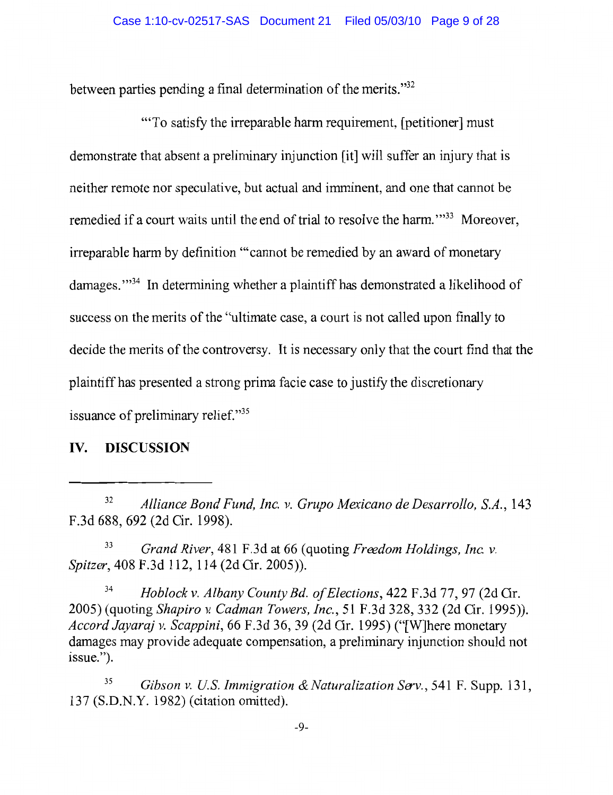between parties pending a final determination of the merits."<sup>32</sup>

"To satisfy the irreparable harm requirement, [petitioner] must demonstrate that absent a preliminary injunction [it] will suffer an injury that is neither remote nor speculative, but actual and imminent, and one that cannot be remedied if a court waits until the end of trial to resolve the harm."<sup>33</sup> Moreover, irreparable harm by definition "cannot be remedied by an award of monetary damages."<sup>34</sup> In determining whether a plaintiff has demonstrated a likelihood of success on the merits of the "ultimate case, a court is not called upon finally to decide the merits of the controversy. It is necessary only that the court find that the plaintiff has presented a strong prima facie case to justify the discretionary issuance of preliminary relief."35

#### IV. **DISCUSSION**

33 Grand River, 481 F.3d at 66 (quoting Freedom Holdings, Inc. v. Spitzer, 408 F.3d 112, 114 (2d Cir. 2005)).

34 Hoblock v. Albany County Bd. of Elections, 422 F.3d 77, 97 (2d Gr. 2005) (quoting Shapiro v. Cadman Towers, Inc., 51 F.3d 328, 332 (2d Cir. 1995)). Accord Jayaraj v. Scappini, 66 F.3d 36, 39 (2d Cir. 1995) ("[W]here monetary damages may provide adequate compensation, a preliminary injunction should not issue.").

35 Gibson v. U.S. Immigration & Naturalization Serv., 541 F. Supp. 131, 137 (S.D.N.Y. 1982) (citation omitted).

<sup>32</sup> Alliance Bond Fund, Inc. v. Grupo Mexicano de Desarrollo, S.A., 143 F.3d 688, 692 (2d Cir. 1998).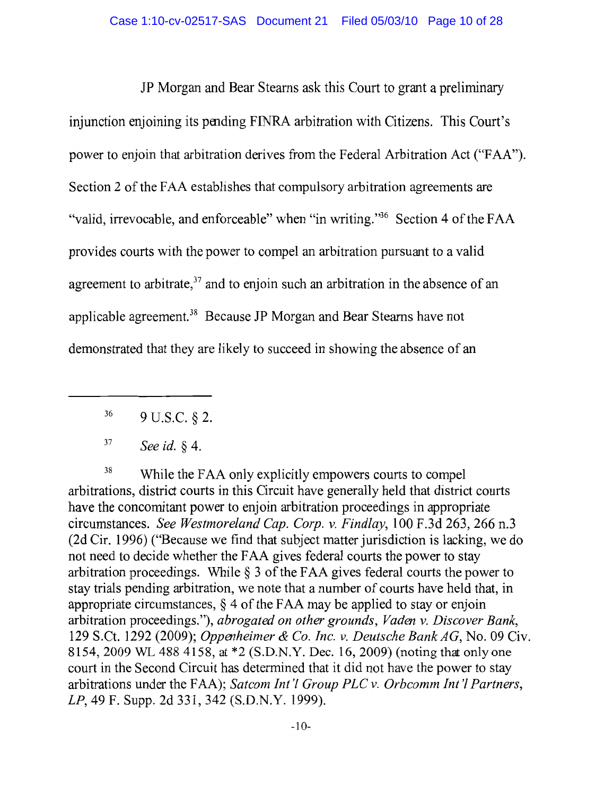JP Morgan and Bear Stearns ask this Court to grant a preliminary injunction enjoining its pending FINRA arbitration with Citizens. This Court's power to enjoin that arbitration derives from the Federal Arbitration Act ("FAA"). Section 2 of the FAA establishes that compulsory arbitration agreements are "valid, irrevocable, and enforceable" when "in writing."<sup>36</sup> Section 4 of the FAA provides courts with the power to compel an arbitration pursuant to a valid agreement to arbitrate,<sup>37</sup> and to enjoin such an arbitration in the absence of an applicable agreement.<sup>38</sup> Because JP Morgan and Bear Stearns have not demonstrated that they are likely to succeed in showing the absence of an

38 While the FAA only explicitly empowers courts to compel arbitrations, district courts in this Circuit have generally held that district courts have the concomitant power to enjoin arbitration proceedings in appropriate circumstances. See Westmoreland Cap. Corp. v. Findlay, 100 F.3d 263, 266 n.3 (2d Cir. 1996) ("Because we find that subject matter jurisdiction is lacking, we do not need to decide whether the FAA gives federal courts the power to stay arbitration proceedings. While  $\S$  3 of the FAA gives federal courts the power to stay trials pending arbitration, we note that a number of courts have held that, in appropriate circumstances,  $\S 4$  of the FAA may be applied to stay or enjoin arbitration proceedings."), abrogated on other grounds, Vaden v. Discover Bank, 129 S.Ct. 1292 (2009); Oppenheimer & Co. Inc. v. Deutsche Bank AG, No. 09 Civ. 8154, 2009 WL 488 4158, at \*2 (S.D.N.Y. Dec. 16, 2009) (noting that only one court in the Second Circuit has determined that it did not have the power to stay arbitrations under the FAA); Satcom Int'l Group PLC v. Orbcomm Int'l Partners, LP, 49 F. Supp. 2d 331, 342 (S.D.N.Y. 1999).

<sup>36</sup> 9 U.S.C. § 2.

<sup>37</sup> See id. § 4.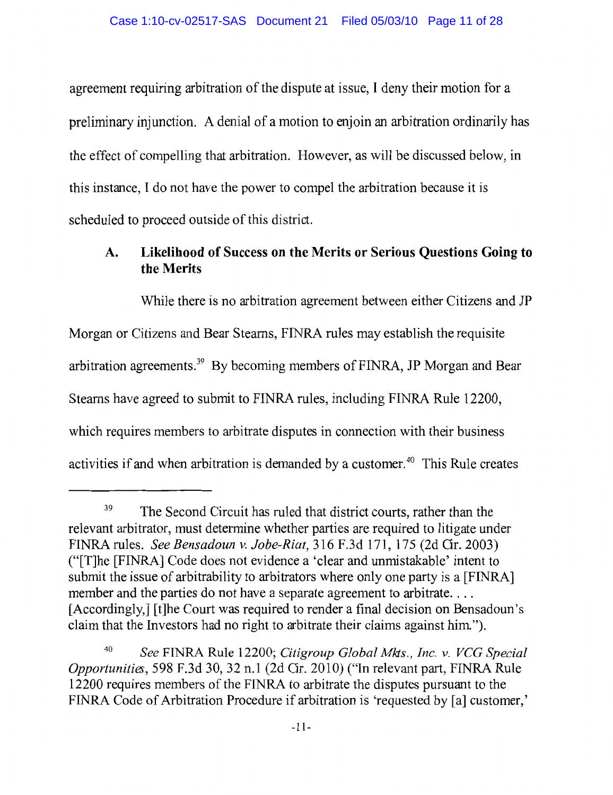agreement requiring arbitration of the dispute at issue, I deny their motion for a preliminary injunction. A denial of a motion to enjoin an arbitration ordinarily has the effect of compelling that arbitration. However, as will be discussed below, in this instance. I do not have the power to compel the arbitration because it is scheduled to proceed outside of this district.

# Likelihood of Success on the Merits or Serious Questions Going to A. the Merits

While there is no arbitration agreement between either Citizens and JP Morgan or Citizens and Bear Stearns, FINRA rules may establish the requisite arbitration agreements.<sup>39</sup> By becoming members of FINRA, JP Morgan and Bear Stearns have agreed to submit to FINRA rules, including FINRA Rule 12200, which requires members to arbitrate disputes in connection with their business activities if and when arbitration is demanded by a customer.<sup>40</sup> This Rule creates

<sup>39</sup> The Second Circuit has ruled that district courts, rather than the relevant arbitrator, must determine whether parties are required to litigate under FINRA rules. See Bensadoun v. Jobe-Riat, 316 F.3d 171, 175 (2d Cir. 2003) ("[T]he [FINRA] Code does not evidence a 'clear and unmistakable' intent to submit the issue of arbitrability to arbitrators where only one party is a [FINRA] member and the parties do not have a separate agreement to arbitrate.... [Accordingly,] [t] he Court was required to render a final decision on Bensadoun's claim that the Investors had no right to arbitrate their claims against him.").

See FINRA Rule 12200; Citigroup Global Mkts., Inc. v. VCG Special Opportunities, 598 F.3d 30, 32 n.1 (2d Cir. 2010) ("In relevant part, FINRA Rule 12200 requires members of the FINRA to arbitrate the disputes pursuant to the FINRA Code of Arbitration Procedure if arbitration is 'requested by [a] customer,'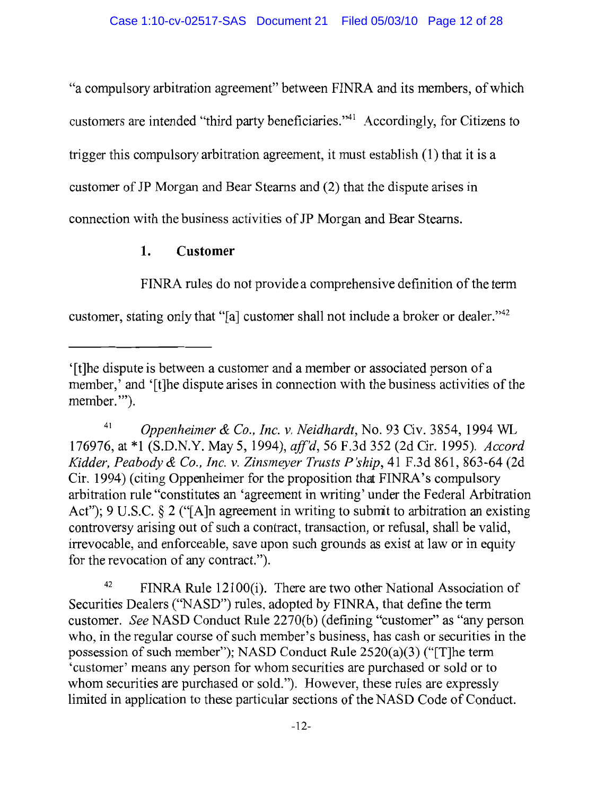"a compulsory arbitration agreement" between FINRA and its members, of which customers are intended "third party beneficiaries."<sup>41</sup> Accordingly, for Citizens to trigger this compulsory arbitration agreement, it must establish (1) that it is a customer of JP Morgan and Bear Stearns and (2) that the dispute arises in connection with the business activities of JP Morgan and Bear Stearns.

# $\mathbf{1}$ . **Customer**

FINRA rules do not provide a comprehensive definition of the term

customer, stating only that "[a] customer shall not include a broker or dealer."<sup>42</sup>

41 Oppenheimer & Co., Inc. v. Neidhardt, No. 93 Civ. 3854, 1994 WL 176976, at \*1 (S.D.N.Y. May 5, 1994), aff'd, 56 F.3d 352 (2d Cir. 1995). Accord Kidder, Peabody & Co., Inc. v. Zinsmeyer Trusts P'ship, 41 F.3d 861, 863-64 (2d) Cir. 1994) (citing Oppenheimer for the proposition that FINRA's compulsory arbitration rule "constitutes an 'agreement in writing' under the Federal Arbitration Act"); 9 U.S.C. § 2 ("[A]n agreement in writing to submit to arbitration an existing controversy arising out of such a contract, transaction, or refusal, shall be valid, irrevocable, and enforceable, save upon such grounds as exist at law or in equity for the revocation of any contract.").

42 FINRA Rule 12100(i). There are two other National Association of Securities Dealers ("NASD") rules, adopted by FINRA, that define the term customer. See NASD Conduct Rule 2270(b) (defining "customer" as "any person who, in the regular course of such member's business, has cash or securities in the possession of such member"); NASD Conduct Rule 2520(a)(3) ("[T]he term 'customer' means any person for whom securities are purchased or sold or to whom securities are purchased or sold."). However, these rules are expressly limited in application to these particular sections of the NASD Code of Conduct.

<sup>&#</sup>x27;[t] he dispute is between a customer and a member or associated person of a member,' and '[t] he dispute arises in connection with the business activities of the member."").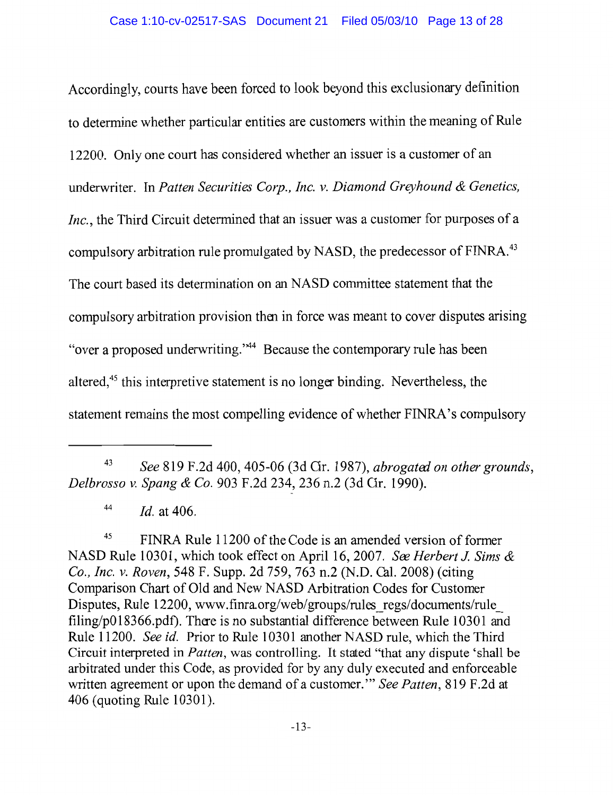Accordingly, courts have been forced to look beyond this exclusionary definition to determine whether particular entities are customers within the meaning of Rule 12200. Only one court has considered whether an issuer is a customer of an underwriter. In Patten Securities Corp., Inc. v. Diamond Greyhound & Genetics, Inc., the Third Circuit determined that an issuer was a customer for purposes of a compulsory arbitration rule promulgated by NASD, the predecessor of FINRA.<sup>43</sup> The court based its determination on an NASD committee statement that the compulsory arbitration provision then in force was meant to cover disputes arising "over a proposed underwriting."<sup>44</sup> Because the contemporary rule has been altered,<sup>45</sup> this interpretive statement is no longer binding. Nevertheless, the statement remains the most compelling evidence of whether FINRA's compulsory

43 See 819 F.2d 400, 405-06 (3d Gr. 1987), abrogated on other grounds, Delbrosso v. Spang & Co. 903 F.2d 234, 236 n.2 (3d Gr. 1990).

44 *Id.* at 406.

45 FINRA Rule 11200 of the Code is an amended version of former NASD Rule 10301, which took effect on April 16, 2007. See Herbert J. Sims & Co., Inc. v. Roven, 548 F. Supp. 2d 759, 763 n.2 (N.D. Cal. 2008) (citing Comparison Chart of Old and New NASD Arbitration Codes for Customer Disputes, Rule 12200, www.finra.org/web/groups/rules regs/documents/rule  $\frac{\text{filing}}{\text{p018366.pdf}}$ . There is no substantial difference between Rule 10301 and Rule 11200. See id. Prior to Rule 10301 another NASD rule, which the Third Circuit interpreted in *Patten*, was controlling. It stated "that any dispute 'shall be arbitrated under this Code, as provided for by any duly executed and enforceable written agreement or upon the demand of a customer." See Patten, 819 F.2d at 406 (quoting Rule 10301).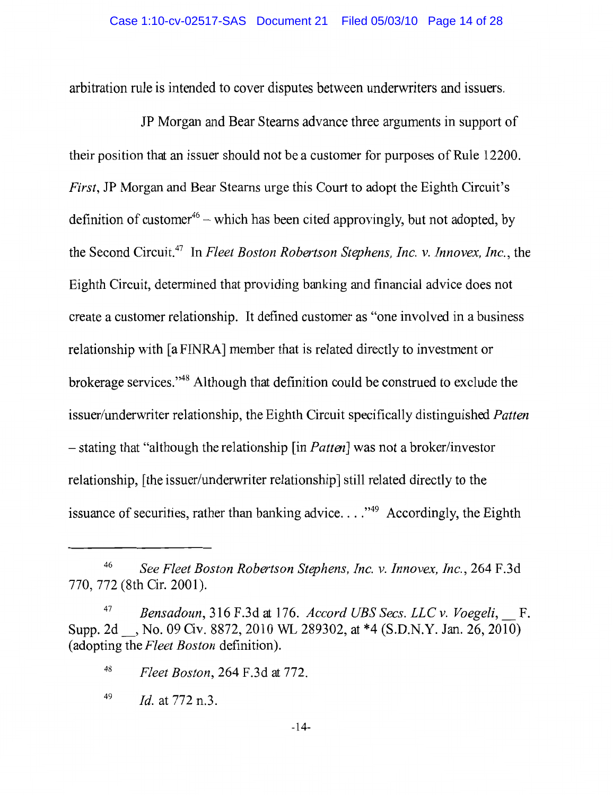arbitration rule is intended to cover disputes between underwriters and issuers.

JP Morgan and Bear Stearns advance three arguments in support of their position that an issuer should not be a customer for purposes of Rule 12200. First, JP Morgan and Bear Stearns urge this Court to adopt the Eighth Circuit's definition of customer<sup>46</sup> – which has been cited approvingly, but not adopted, by the Second Circuit.<sup>47</sup> In Fleet Boston Robertson Stephens, Inc. v. Innovex, Inc., the Eighth Circuit, determined that providing banking and financial advice does not create a customer relationship. It defined customer as "one involved in a business" relationship with [a FINRA] member that is related directly to investment or brokerage services."<sup>48</sup> Although that definition could be construed to exclude the issuer/underwriter relationship, the Eighth Circuit specifically distinguished *Patten*  $-$  stating that "although the relationship [in *Patten*] was not a broker/investor relationship, [the issuer/underwriter relationship] still related directly to the issuance of securities, rather than banking advice...."<sup>49</sup> Accordingly, the Eighth

<sup>46</sup> See Fleet Boston Robertson Stephens, Inc. v. Innovex, Inc., 264 F.3d 770, 772 (8th Cir. 2001).

Bensadoun, 316 F.3d at 176. Accord UBS Secs. LLC v. Voegeli, F. Supp. 2d , No. 09 Civ. 8872, 2010 WL 289302, at \*4 (S.D.N.Y. Jan. 26, 2010) (adopting the Fleet Boston definition).

<sup>48</sup> Fleet Boston, 264 F.3d at 772.

<sup>49</sup> *Id.* at 772 n.3.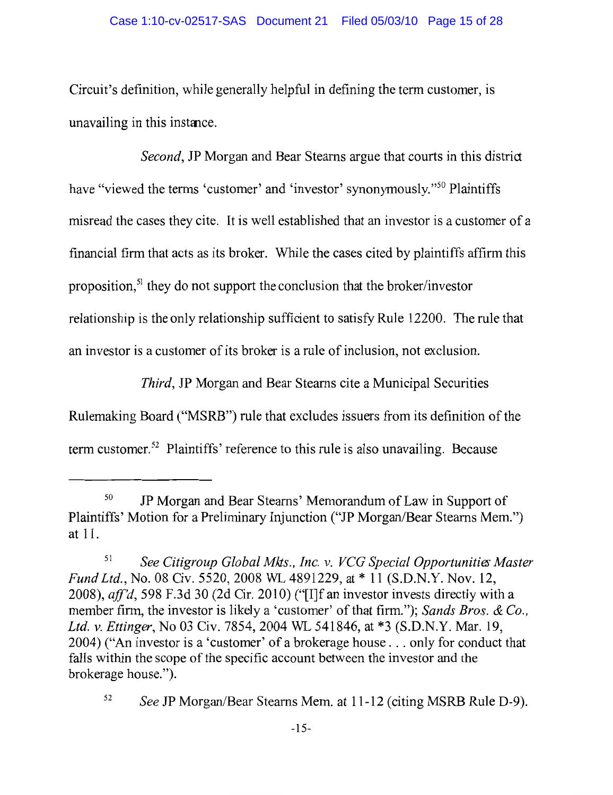Circuit's definition, while generally helpful in defining the term customer, is unavailing in this instance.

*Second*, JP Morgan and Bear Stearns argue that courts in this district have "viewed the terms 'customer' and 'investor' synonymously."<sup>50</sup> Plaintiffs misread the cases they cite. It is well established that an investor is a customer of a financial firm that acts as its broker. While the cases cited by plaintiffs affirm this proposition,<sup>51</sup> they do not support the conclusion that the broker/investor relationship is the only relationship sufficient to satisfy Rule 12200. The rule that an investor is a customer of its broker is a rule of inclusion, not exclusion.

*Third*, JP Morgan and Bear Stearns cite a Municipal Securities

Rulemaking Board ("MSRB") rule that excludes issuers from its definition of the

term customer.<sup>52</sup> Plaintiffs' reference to this rule is also unavailing. Because

<sup>50</sup> JP Morgan and Bear Stearns' Memorandum of Law in Support of Plaintiffs' Motion for a Preliminary Injunction ("JP Morgan/Bear Stearns Mem.") at 11.

<sup>51</sup> See Citigroup Global Mkts., Inc. v. VCG Special Opportunities Master Fund Ltd., No. 08 Civ. 5520, 2008 WL 4891229, at \* 11 (S.D.N.Y. Nov. 12, 2008), aff'd, 598 F.3d 30 (2d Cir. 2010) ("[I]f an investor invests directly with a member firm, the investor is likely a 'customer' of that firm."); Sands Bros. & Co., Ltd. v. Ettinger, No 03 Civ. 7854, 2004 WL 541846, at \*3 (S.D.N.Y. Mar. 19, 2004) ("An investor is a 'customer' of a brokerage house . . . only for conduct that falls within the scope of the specific account between the investor and the brokerage house.").

<sup>52</sup> See JP Morgan/Bear Stearns Mem. at 11-12 (citing MSRB Rule D-9).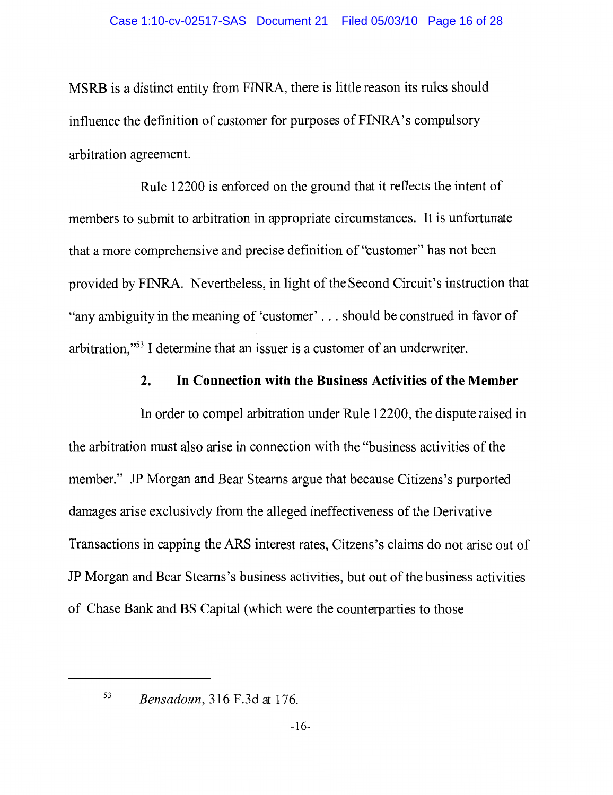MSRB is a distinct entity from FINRA, there is little reason its rules should influence the definition of customer for purposes of FINRA's compulsory arbitration agreement.

Rule 12200 is enforced on the ground that it reflects the intent of members to submit to arbitration in appropriate circumstances. It is unfortunate that a more comprehensive and precise definition of "customer" has not been provided by FINRA. Nevertheless, in light of the Second Circuit's instruction that "any ambiguity in the meaning of 'customer' . . . should be construed in favor of arbitration."<sup>53</sup> I determine that an issuer is a customer of an underwriter.

#### $2.$ In Connection with the Business Activities of the Member

In order to compel arbitration under Rule 12200, the dispute raised in the arbitration must also arise in connection with the "business activities of the member." JP Morgan and Bear Stearns argue that because Citizens's purported damages arise exclusively from the alleged ineffectiveness of the Derivative Transactions in capping the ARS interest rates, Citzens's claims do not arise out of JP Morgan and Bear Stearns's business activities, but out of the business activities of Chase Bank and BS Capital (which were the counterparties to those

53

Bensadoun, 316 F.3d at 176.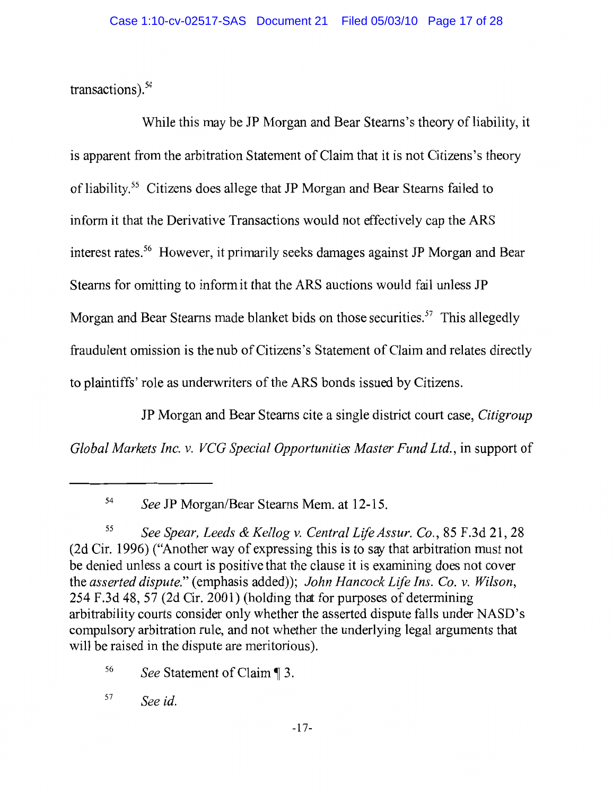transactions). $54$ 

While this may be JP Morgan and Bear Stearns's theory of liability, it is apparent from the arbitration Statement of Claim that it is not Citizens's theory of liability.<sup>55</sup> Citizens does allege that JP Morgan and Bear Stearns failed to inform it that the Derivative Transactions would not effectively cap the ARS interest rates.<sup>56</sup> However, it primarily seeks damages against JP Morgan and Bear Stearns for omitting to inform it that the ARS auctions would fail unless JP Morgan and Bear Stearns made blanket bids on those securities.<sup>57</sup> This allegedly fraudulent omission is the nub of Citizens's Statement of Claim and relates directly to plaintiffs' role as underwriters of the ARS bonds issued by Citizens.

JP Morgan and Bear Stearns cite a single district court case, Citigroup

Global Markets Inc. v. VCG Special Opportunities Master Fund Ltd., in support of

54 See JP Morgan/Bear Stearns Mem. at 12-15.

56 See Statement of Claim 1 3.

57 See id.

<sup>55</sup> See Spear, Leeds & Kellog v. Central Life Assur. Co., 85 F.3d 21, 28 (2d Cir. 1996) ("Another way of expressing this is to say that arbitration must not be denied unless a court is positive that the clause it is examining does not cover the asserted dispute." (emphasis added)); John Hancock Life Ins. Co. v. Wilson, 254 F.3d 48, 57 (2d Cir. 2001) (holding that for purposes of determining arbitrability courts consider only whether the asserted dispute falls under NASD's compulsory arbitration rule, and not whether the underlying legal arguments that will be raised in the dispute are meritorious).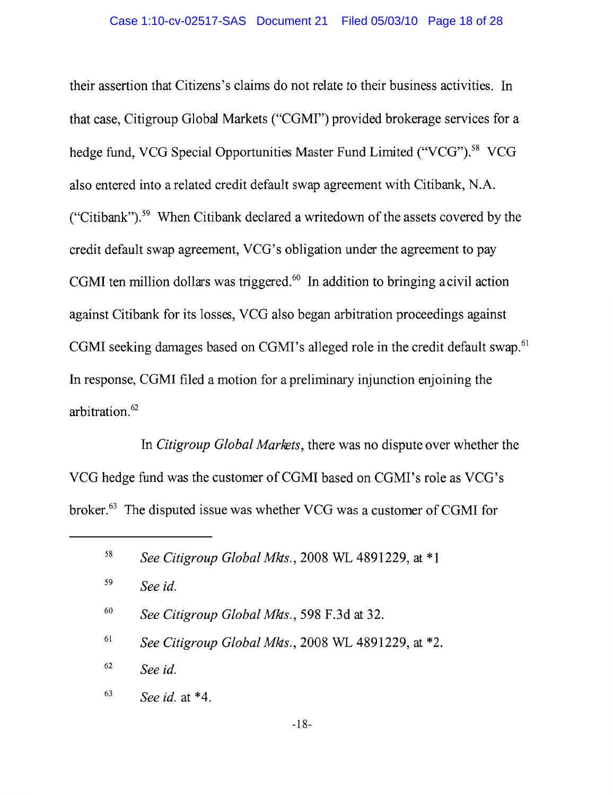their assertion that Citizens's claims do not relate to their business activities. In that case, Citigroup Global Markets ("CGMI") provided brokerage services for a hedge fund, VCG Special Opportunities Master Fund Limited ("VCG").<sup>58</sup> VCG also entered into a related credit default swap agreement with Citibank, N.A. ("Citibank").<sup>59</sup> When Citibank declared a writedown of the assets covered by the credit default swap agreement, VCG's obligation under the agreement to pay CGMI ten million dollars was triggered.<sup>60</sup> In addition to bringing a civil action against Citibank for its losses, VCG also began arbitration proceedings against CGMI seeking damages based on CGMI's alleged role in the credit default swap.<sup>61</sup> In response, CGMI filed a motion for a preliminary injunction enjoining the arbitration.<sup>62</sup>

In Citigroup Global Markets, there was no dispute over whether the VCG hedge fund was the customer of CGMI based on CGMI's role as VCG's broker.<sup>63</sup> The disputed issue was whether VCG was a customer of CGMI for

- 59 See id.
- 60 See Citigroup Global Mkts., 598 F.3d at 32.
- 61 See Citigroup Global Mkts., 2008 WL 4891229, at \*2.
- 62 See id.
- 63 See id. at  $*4$ .

<sup>58</sup> See Citigroup Global Mks., 2008 WL 4891229, at \*1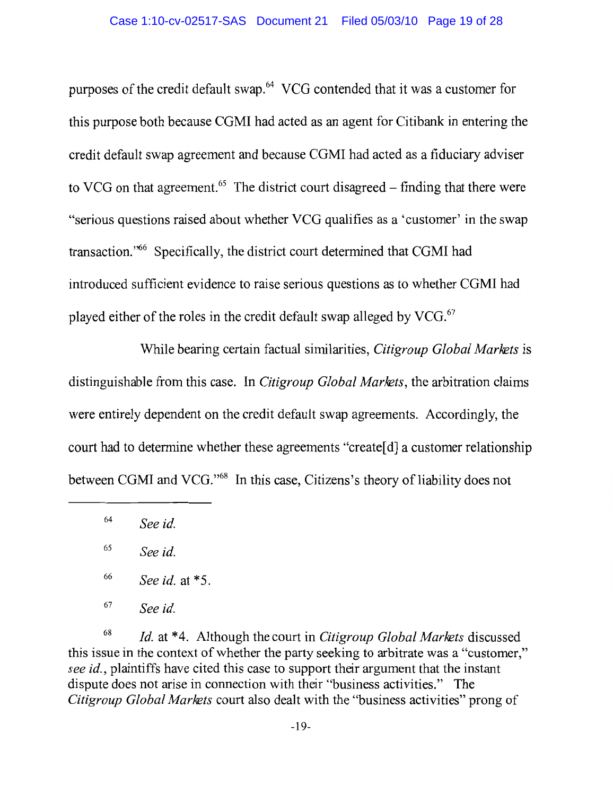purposes of the credit default swap.<sup>64</sup> VCG contended that it was a customer for this purpose both because CGMI had acted as an agent for Citibank in entering the credit default swap agreement and because CGMI had acted as a fiduciary adviser to VCG on that agreement.<sup>65</sup> The district court disagreed – finding that there were "serious questions raised about whether VCG qualifies as a 'customer' in the swap transaction.<sup>766</sup> Specifically, the district court determined that CGMI had introduced sufficient evidence to raise serious questions as to whether CGMI had played either of the roles in the credit default swap alleged by VCG.<sup>67</sup>

While bearing certain factual similarities, Citigroup Global Markets is distinguishable from this case. In *Citigroup Global Markets*, the arbitration claims were entirely dependent on the credit default swap agreements. Accordingly, the court had to determine whether these agreements "create<sup>[d]</sup> a customer relationship between CGMI and VCG."<sup>68</sup> In this case, Citizens's theory of liability does not

68 *Id.* at \*4. Although the court in *Citigroup Global Markets* discussed this issue in the context of whether the party seeking to arbitrate was a "customer." see id., plaintiffs have cited this case to support their argument that the instant dispute does not arise in connection with their "business activities." The Citigroup Global Markets court also dealt with the "business activities" prong of

<sup>64</sup> See id.

<sup>65</sup> See id.

<sup>66</sup> See id. at \*5.

<sup>67</sup> See id.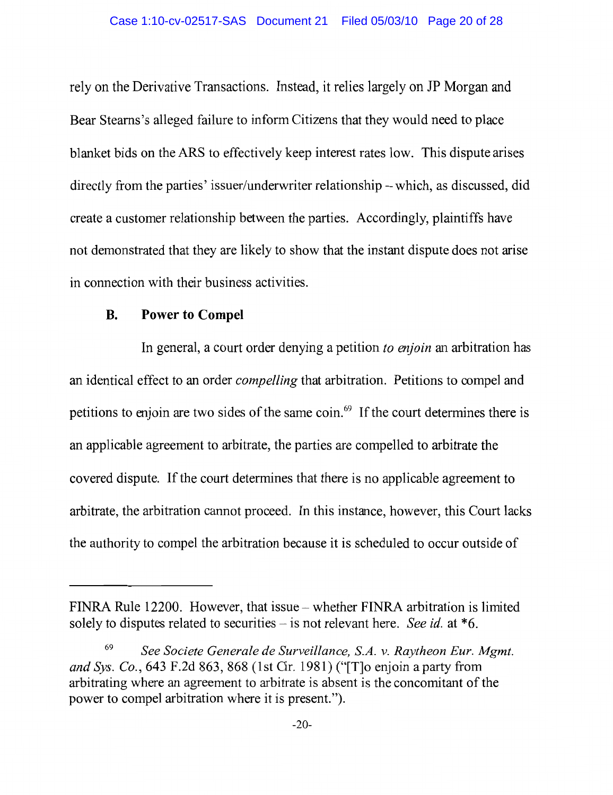rely on the Derivative Transactions. Instead, it relies largely on JP Morgan and Bear Stearns's alleged failure to inform Citizens that they would need to place blanket bids on the ARS to effectively keep interest rates low. This dispute arises directly from the parties' issuer/underwriter relationship – which, as discussed, did create a customer relationship between the parties. Accordingly, plaintiffs have not demonstrated that they are likely to show that the instant dispute does not arise in connection with their business activities.

#### **Power to Compel B.**

In general, a court order denying a petition to enjoin an arbitration has an identical effect to an order *compelling* that arbitration. Petitions to compel and petitions to enjoin are two sides of the same coin.<sup>69</sup> If the court determines there is an applicable agreement to arbitrate, the parties are compelled to arbitrate the covered dispute. If the court determines that there is no applicable agreement to arbitrate, the arbitration cannot proceed. In this instance, however, this Court lacks the authority to compel the arbitration because it is scheduled to occur outside of

FINRA Rule 12200. However, that issue – whether FINRA arbitration is limited solely to disputes related to securities – is not relevant here. See id. at  $*6$ .

<sup>69</sup> See Societe Generale de Surveillance, S.A. v. Raytheon Eur. Mgmt. and Sys. Co., 643 F.2d 863, 868 (1st Cir. 1981) ("T] o enjoin a party from arbitrating where an agreement to arbitrate is absent is the concomitant of the power to compel arbitration where it is present.").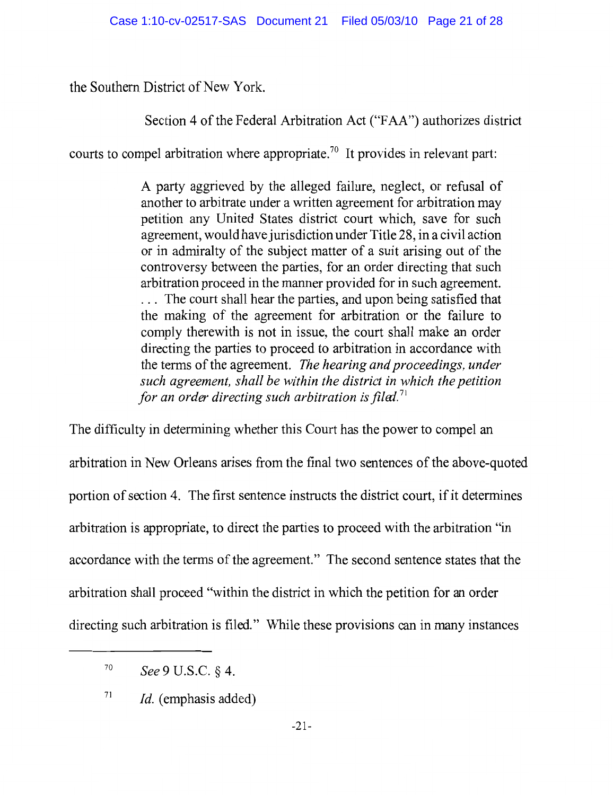the Southern District of New York.

Section 4 of the Federal Arbitration Act ("FAA") authorizes district

courts to compel arbitration where appropriate.<sup>70</sup> It provides in relevant part:

A party aggrieved by the alleged failure, neglect, or refusal of another to arbitrate under a written agreement for arbitration may petition any United States district court which, save for such agreement, would have jurisdiction under Title 28, in a civil action or in admiralty of the subject matter of a suit arising out of the controversy between the parties, for an order directing that such arbitration proceed in the manner provided for in such agreement. ... The court shall hear the parties, and upon being satisfied that the making of the agreement for arbitration or the failure to comply therewith is not in issue, the court shall make an order directing the parties to proceed to arbitration in accordance with the terms of the agreement. The hearing and proceedings, under such agreement, shall be within the district in which the petition for an order directing such arbitration is filed.<sup>71</sup>

The difficulty in determining whether this Court has the power to compel an arbitration in New Orleans arises from the final two sentences of the above-quoted portion of section 4. The first sentence instructs the district court, if it determines arbitration is appropriate, to direct the parties to proceed with the arbitration "in accordance with the terms of the agreement." The second sentence states that the arbitration shall proceed "within the district in which the petition for an order directing such arbitration is filed." While these provisions can in many instances

<sup>70</sup> See 9 U.S.C. § 4.

<sup>71</sup> *Id.* (emphasis added)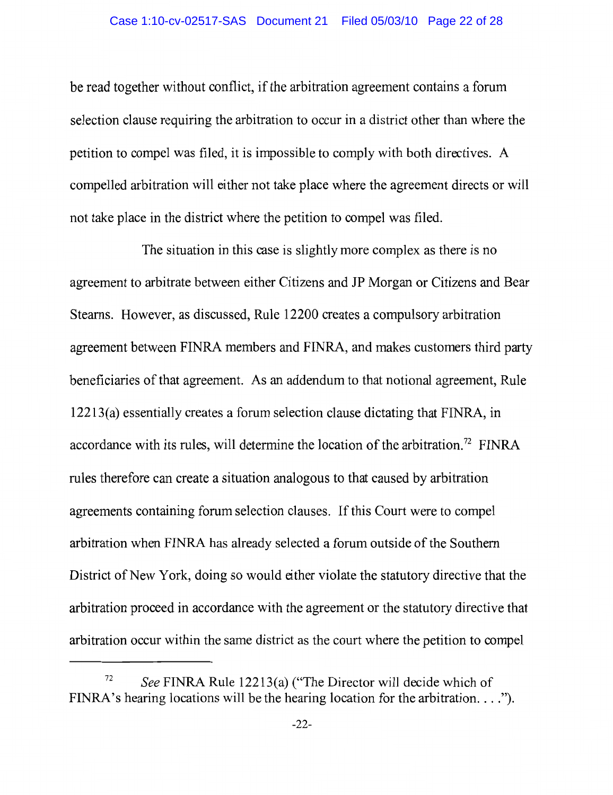be read together without conflict, if the arbitration agreement contains a forum selection clause requiring the arbitration to occur in a district other than where the petition to compel was filed, it is impossible to comply with both directives. A compelled arbitration will either not take place where the agreement directs or will not take place in the district where the petition to compel was filed.

The situation in this case is slightly more complex as there is no agreement to arbitrate between either Citizens and JP Morgan or Citizens and Bear Stearns. However, as discussed, Rule 12200 creates a compulsory arbitration agreement between FINRA members and FINRA, and makes customers third party beneficiaries of that agreement. As an addendum to that notional agreement, Rule 12213(a) essentially creates a forum selection clause dictating that FINRA, in accordance with its rules, will determine the location of the arbitration.<sup>72</sup> FINRA rules therefore can create a situation analogous to that caused by arbitration agreements containing forum selection clauses. If this Court were to compel arbitration when FINRA has already selected a forum outside of the Southern District of New York, doing so would either violate the statutory directive that the arbitration proceed in accordance with the agreement or the statutory directive that arbitration occur within the same district as the court where the petition to compel

<sup>72</sup> See FINRA Rule 12213(a) ("The Director will decide which of FINRA's hearing locations will be the hearing location for the arbitration.  $\dots$ ").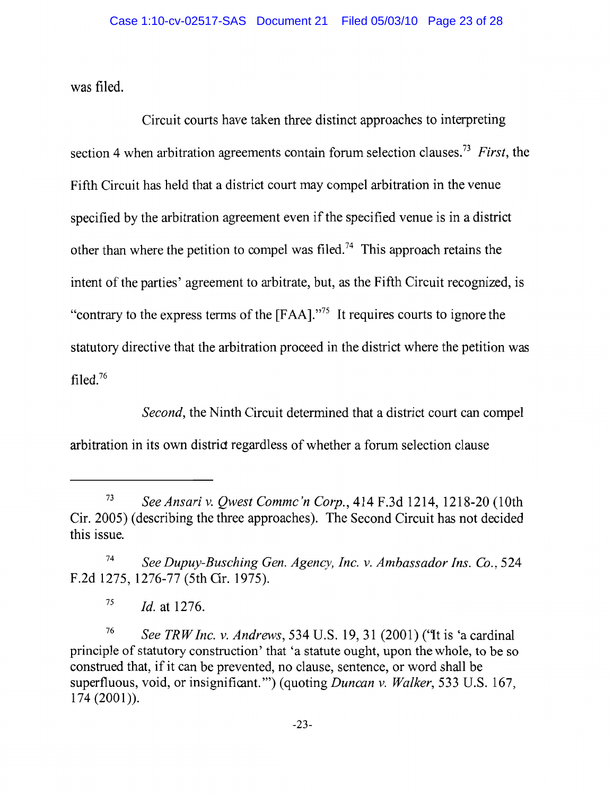was filed.

Circuit courts have taken three distinct approaches to interpreting section 4 when arbitration agreements contain forum selection clauses.<sup>73</sup> First, the Fifth Circuit has held that a district court may compel arbitration in the venue specified by the arbitration agreement even if the specified venue is in a district other than where the petition to compel was filed.<sup>74</sup> This approach retains the intent of the parties' agreement to arbitrate, but, as the Fifth Circuit recognized, is "contrary to the express terms of the [FAA]."<sup>75</sup> It requires courts to ignore the statutory directive that the arbitration proceed in the district where the petition was filed. $76$ 

*Second*, the Ninth Circuit determined that a district court can compel arbitration in its own district regardless of whether a forum selection clause

75 *Id.* at 1276.

76 See TRW Inc. v. Andrews, 534 U.S. 19, 31 (2001) ('It is 'a cardinal principle of statutory construction' that 'a statute ought, upon the whole, to be so construed that, if it can be prevented, no clause, sentence, or word shall be superfluous, void, or insignificant.") (quoting *Duncan v. Walker*, 533 U.S. 167,  $174(2001)$ .

<sup>73</sup> See Ansari v. Qwest Commc'n Corp., 414 F.3d 1214, 1218-20 (10th Cir. 2005) (describing the three approaches). The Second Circuit has not decided this issue.

<sup>74</sup> See Dupuy-Busching Gen. Agency, Inc. v. Ambassador Ins. Co., 524 F.2d 1275, 1276-77 (5th Cir. 1975).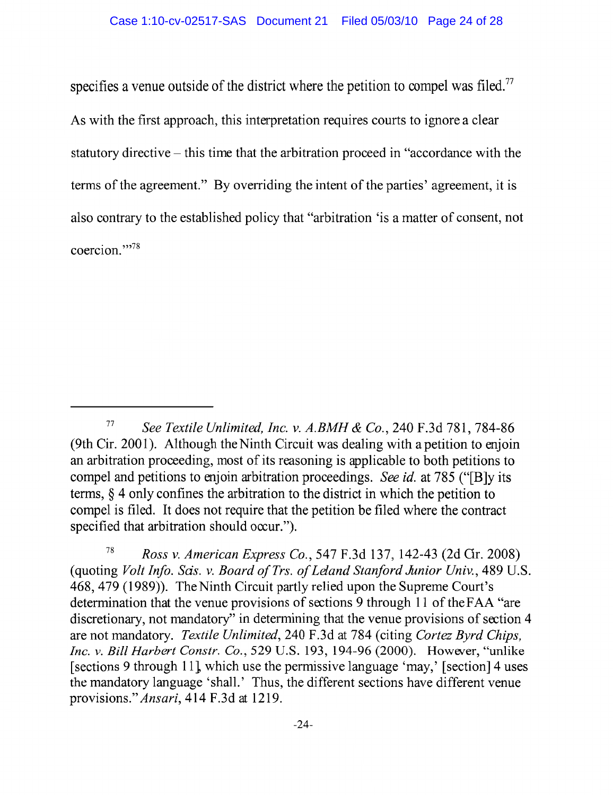specifies a venue outside of the district where the petition to compel was filed.<sup>77</sup> As with the first approach, this interpretation requires courts to ignore a clear statutory directive – this time that the arbitration proceed in "accordance with the terms of the agreement." By overriding the intent of the parties' agreement, it is also contrary to the established policy that "arbitration 'is a matter of consent, not coercion."

<sup>77</sup> See Textile Unlimited, Inc. v. A.BMH & Co., 240 F.3d 781, 784-86 (9th Cir. 2001). Although the Ninth Circuit was dealing with a petition to enjoin an arbitration proceeding, most of its reasoning is applicable to both petitions to compel and petitions to enjoin arbitration proceedings. See id. at 785 ("[B]y its terms,  $\S$  4 only confines the arbitration to the district in which the petition to compel is filed. It does not require that the petition be filed where the contract specified that arbitration should occur.").

<sup>78</sup> Ross v. American Express Co., 547 F.3d 137, 142-43 (2d Gr. 2008) (quoting *Volt Info. Sas. v. Board of Trs. of Leland Stanford Junior Univ.*, 489 U.S. 468, 479 (1989)). The Ninth Circuit partly relied upon the Supreme Court's determination that the venue provisions of sections 9 through 11 of the FAA "are discretionary, not mandatory" in determining that the venue provisions of section 4 are not mandatory. Textile Unlimited, 240 F.3d at 784 (citing Cortez Byrd Chips, Inc. v. Bill Harbert Constr. Co., 529 U.S. 193, 194-96 (2000). However, "unlike [sections 9 through 11], which use the permissive language 'may,' [section] 4 uses the mandatory language 'shall.' Thus, the different sections have different venue provisions." Ansari, 414 F.3d at 1219.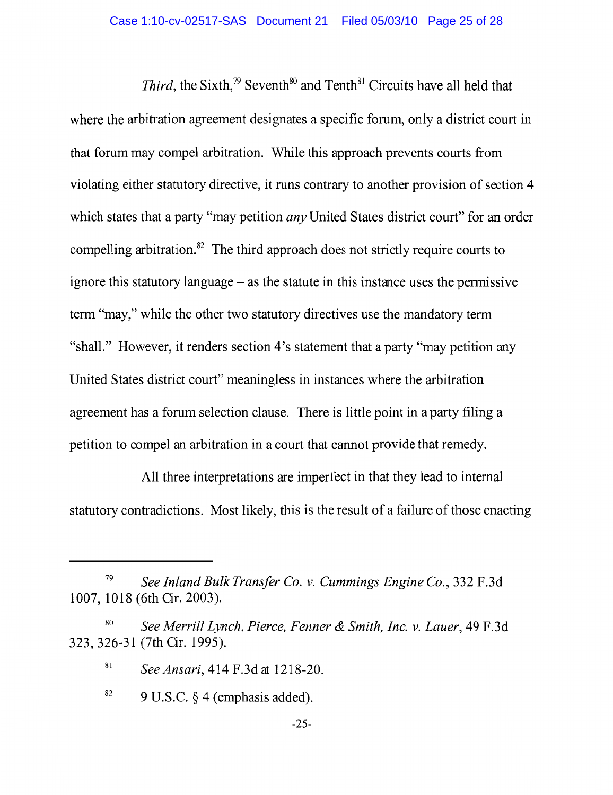*Third*, the Sixth,<sup>79</sup> Seventh<sup>80</sup> and Tenth<sup>81</sup> Circuits have all held that where the arbitration agreement designates a specific forum, only a district court in that forum may compel arbitration. While this approach prevents courts from violating either statutory directive, it runs contrary to another provision of section 4 which states that a party "may petition *any* United States district court" for an order compelling arbitration.<sup>82</sup> The third approach does not strictly require courts to ignore this statutory language  $-$  as the statute in this instance uses the permissive term "may," while the other two statutory directives use the mandatory term "shall." However, it renders section 4's statement that a party "may petition any" United States district court" meaningless in instances where the arbitration agreement has a forum selection clause. There is little point in a party filing a petition to compel an arbitration in a court that cannot provide that remedy.

All three interpretations are imperfect in that they lead to internal statutory contradictions. Most likely, this is the result of a failure of those enacting

<sup>79</sup> See Inland Bulk Transfer Co. v. Cummings Engine Co., 332 F.3d 1007, 1018 (6th Cir. 2003).

<sup>80</sup> See Merrill Lynch, Pierce, Fenner & Smith, Inc. v. Lauer, 49 F.3d 323, 326-31 (7th Cir. 1995).

<sup>81</sup> See Ansari, 414 F.3d at 1218-20.

<sup>82</sup> 9 U.S.C. § 4 (emphasis added).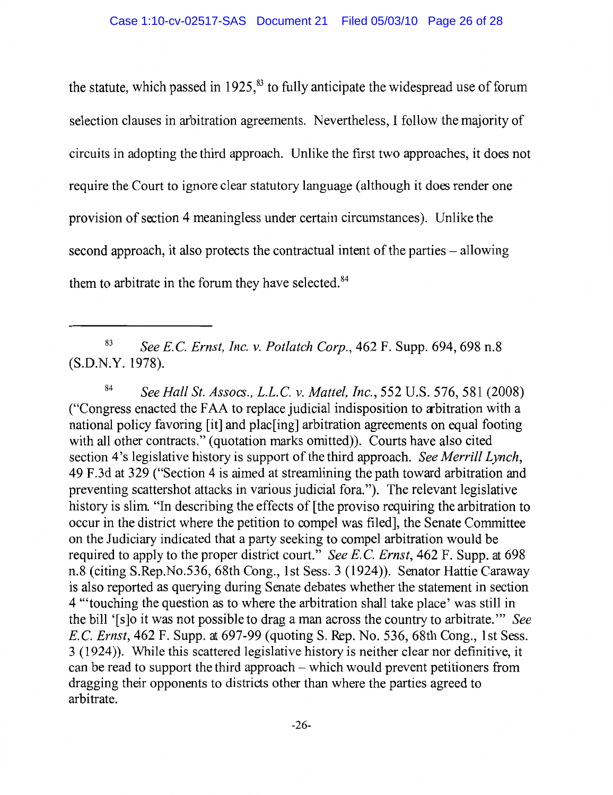the statute, which passed in 1925,<sup>83</sup> to fully anticipate the widespread use of forum selection clauses in arbitration agreements. Nevertheless, I follow the majority of circuits in adopting the third approach. Unlike the first two approaches, it does not require the Court to ignore clear statutory language (although it does render one provision of section 4 meaningless under certain circumstances). Unlike the second approach, it also protects the contractual intent of the parties – allowing them to arbitrate in the forum they have selected.<sup>84</sup>

<sup>83</sup> See E.C. Ernst, Inc. v. Potlatch Corp., 462 F. Supp. 694, 698 n.8 (S.D.N.Y. 1978).

<sup>84</sup> See Hall St. Assocs., L.L.C. v. Mattel, Inc., 552 U.S. 576, 581 (2008) ("Congress enacted the FAA to replace judicial indisposition to arbitration with a national policy favoring [it] and plac[ing] arbitration agreements on equal footing with all other contracts." (quotation marks omitted)). Courts have also cited section 4's legislative history is support of the third approach. See Merrill Lynch, 49 F.3d at 329 ("Section 4 is aimed at streamlining the path toward arbitration and preventing scattershot attacks in various judicial fora."). The relevant legislative history is slim. "In describing the effects of [the proviso requiring the arbitration to occur in the district where the petition to compel was filed], the Senate Committee on the Judiciary indicated that a party seeking to compel arbitration would be required to apply to the proper district court." See E.C. Ernst, 462 F. Supp. at 698 n.8 (citing S.Rep.No.536, 68th Cong., 1st Sess. 3 (1924)). Senator Hattie Caraway is also reported as querying during Senate debates whether the statement in section 4 "touching the question as to where the arbitration shall take place' was still in the bill '[s]o it was not possible to drag a man across the country to arbitrate." See E.C. Ernst, 462 F. Supp. at 697-99 (quoting S. Rep. No. 536, 68th Cong., 1st Sess. 3 (1924)). While this scattered legislative history is neither clear nor definitive, it can be read to support the third approach  $-$  which would prevent petitioners from dragging their opponents to districts other than where the parties agreed to arbitrate.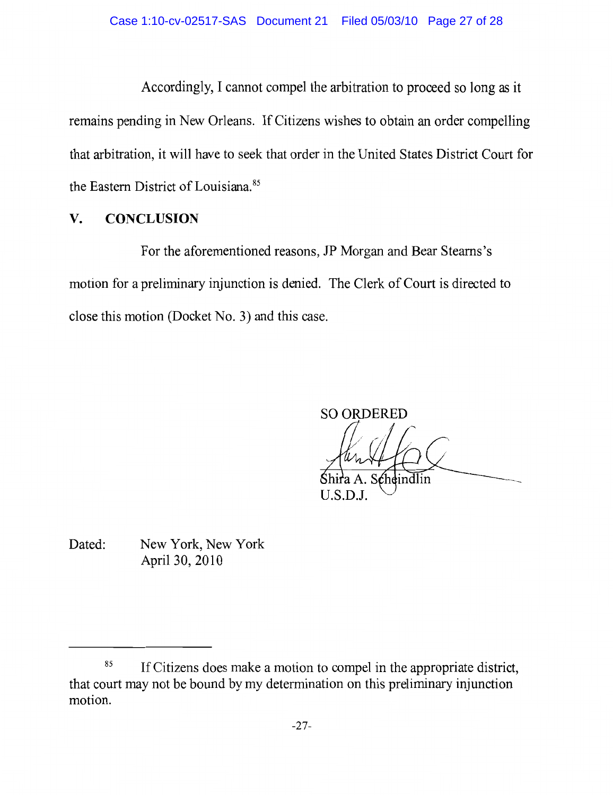Accordingly, I cannot compel the arbitration to proceed so long as it remains pending in New Orleans. If Citizens wishes to obtain an order compelling that arbitration, it will have to seek that order in the United States District Court for the Eastern District of Louisiana.<sup>85</sup>

# V. **CONCLUSION**

For the aforementioned reasons, JP Morgan and Bear Stearns's motion for a preliminary injunction is denied. The Clerk of Court is directed to close this motion (Docket No. 3) and this case.

**SO ORDERED cheindlin** 

 $U.S.D.J.$ 

Dated: New York, New York April 30, 2010

<sup>85</sup> If Citizens does make a motion to compel in the appropriate district, that court may not be bound by my determination on this preliminary injunction motion.